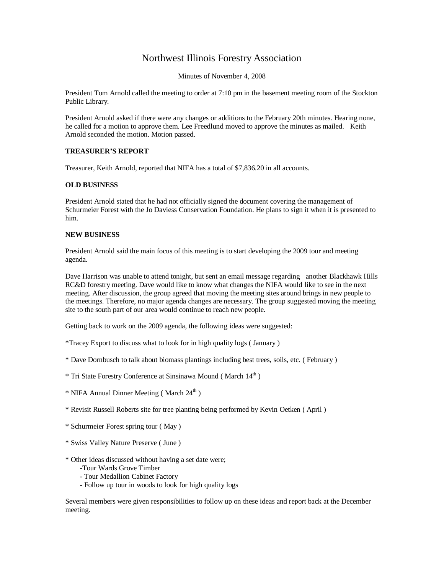## Northwest Illinois Forestry Association

Minutes of November 4, 2008

President Tom Arnold called the meeting to order at 7:10 pm in the basement meeting room of the Stockton Public Library.

President Arnold asked if there were any changes or additions to the February 20th minutes. Hearing none, he called for a motion to approve them. Lee Freedlund moved to approve the minutes as mailed. Keith Arnold seconded the motion. Motion passed.

## **TREASURER'S REPORT**

Treasurer, Keith Arnold, reported that NIFA has a total of \$7,836.20 in all accounts.

## **OLD BUSINESS**

President Arnold stated that he had not officially signed the document covering the management of Schurmeier Forest with the Jo Daviess Conservation Foundation. He plans to sign it when it is presented to him.

## **NEW BUSINESS**

President Arnold said the main focus of this meeting is to start developing the 2009 tour and meeting agenda.

Dave Harrison was unable to attend tonight, but sent an email message regarding another Blackhawk Hills RC&D forestry meeting. Dave would like to know what changes the NIFA would like to see in the next meeting. After discussion, the group agreed that moving the meeting sites around brings in new people to the meetings. Therefore, no major agenda changes are necessary. The group suggested moving the meeting site to the south part of our area would continue to reach new people.

Getting back to work on the 2009 agenda, the following ideas were suggested:

\*Tracey Export to discuss what to look for in high quality logs ( January )

- \* Dave Dornbusch to talk about biomass plantings including best trees, soils, etc. ( February )
- \* Tri State Forestry Conference at Sinsinawa Mound ( March 14th )
- $*$  NIFA Annual Dinner Meeting (March  $24<sup>th</sup>$ )
- \* Revisit Russell Roberts site for tree planting being performed by Kevin Oetken ( April )
- \* Schurmeier Forest spring tour ( May )
- \* Swiss Valley Nature Preserve ( June )
- \* Other ideas discussed without having a set date were;
	- -Tour Wards Grove Timber
	- Tour Medallion Cabinet Factory
	- Follow up tour in woods to look for high quality logs

Several members were given responsibilities to follow up on these ideas and report back at the December meeting.